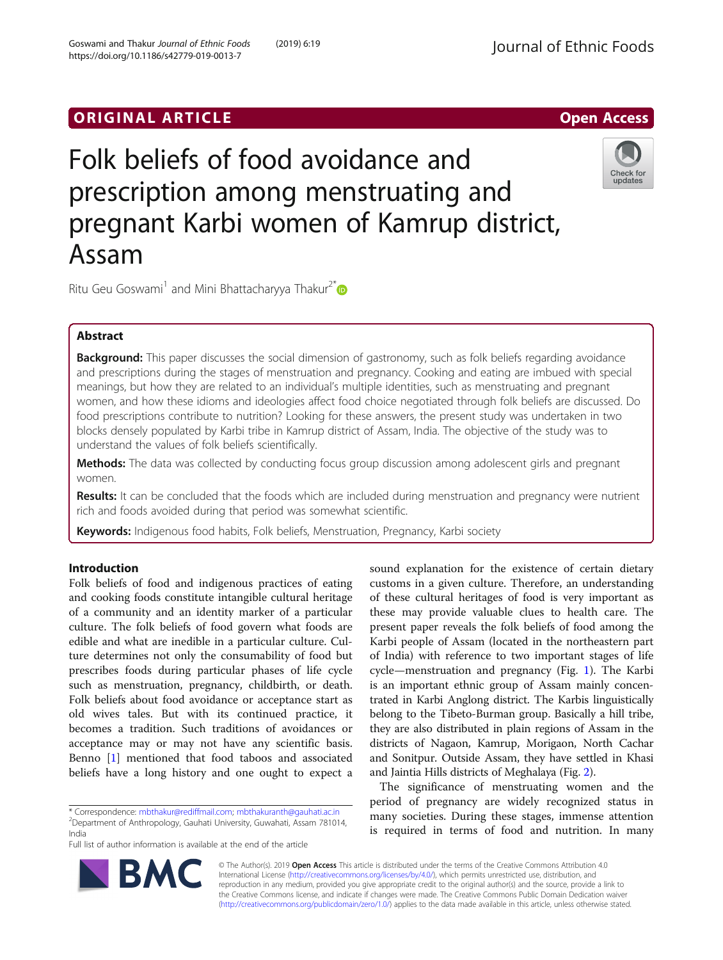# Folk beliefs of food avoidance and prescription among menstruating and pregnant Karbi women of Kamrup district, Assam



Ritu Geu Goswami<sup>1</sup> and Mini Bhattacharyya Thakur<sup>2[\\*](http://orcid.org/0000-0003-0871-0050)</sup>

# Abstract

Background: This paper discusses the social dimension of gastronomy, such as folk beliefs regarding avoidance and prescriptions during the stages of menstruation and pregnancy. Cooking and eating are imbued with special meanings, but how they are related to an individual's multiple identities, such as menstruating and pregnant women, and how these idioms and ideologies affect food choice negotiated through folk beliefs are discussed. Do food prescriptions contribute to nutrition? Looking for these answers, the present study was undertaken in two blocks densely populated by Karbi tribe in Kamrup district of Assam, India. The objective of the study was to understand the values of folk beliefs scientifically.

Methods: The data was collected by conducting focus group discussion among adolescent girls and pregnant women.

Results: It can be concluded that the foods which are included during menstruation and pregnancy were nutrient rich and foods avoided during that period was somewhat scientific.

Keywords: Indigenous food habits, Folk beliefs, Menstruation, Pregnancy, Karbi society

## Introduction

Folk beliefs of food and indigenous practices of eating and cooking foods constitute intangible cultural heritage of a community and an identity marker of a particular culture. The folk beliefs of food govern what foods are edible and what are inedible in a particular culture. Culture determines not only the consumability of food but prescribes foods during particular phases of life cycle such as menstruation, pregnancy, childbirth, or death. Folk beliefs about food avoidance or acceptance start as old wives tales. But with its continued practice, it becomes a tradition. Such traditions of avoidances or acceptance may or may not have any scientific basis. Benno [\[1\]](#page-6-0) mentioned that food taboos and associated beliefs have a long history and one ought to expect a

\* Correspondence: [mbthakur@rediffmail.com](mailto:mbthakur@rediffmail.com); [mbthakuranth@gauhati.ac.in](mailto:mbthakuranth@gauhati.ac.in) <sup>2</sup>  $2$ Department of Anthropology, Gauhati University, Guwahati, Assam 781014, India

Full list of author information is available at the end of the article

sound explanation for the existence of certain dietary customs in a given culture. Therefore, an understanding of these cultural heritages of food is very important as these may provide valuable clues to health care. The present paper reveals the folk beliefs of food among the Karbi people of Assam (located in the northeastern part of India) with reference to two important stages of life cycle—menstruation and pregnancy (Fig. [1\)](#page-1-0). The Karbi is an important ethnic group of Assam mainly concentrated in Karbi Anglong district. The Karbis linguistically belong to the Tibeto-Burman group. Basically a hill tribe, they are also distributed in plain regions of Assam in the districts of Nagaon, Kamrup, Morigaon, North Cachar and Sonitpur. Outside Assam, they have settled in Khasi and Jaintia Hills districts of Meghalaya (Fig. [2\)](#page-2-0).

The significance of menstruating women and the period of pregnancy are widely recognized status in many societies. During these stages, immense attention is required in terms of food and nutrition. In many



© The Author(s). 2019 Open Access This article is distributed under the terms of the Creative Commons Attribution 4.0 International License [\(http://creativecommons.org/licenses/by/4.0/](http://creativecommons.org/licenses/by/4.0/)), which permits unrestricted use, distribution, and reproduction in any medium, provided you give appropriate credit to the original author(s) and the source, provide a link to the Creative Commons license, and indicate if changes were made. The Creative Commons Public Domain Dedication waiver [\(http://creativecommons.org/publicdomain/zero/1.0/](http://creativecommons.org/publicdomain/zero/1.0/)) applies to the data made available in this article, unless otherwise stated.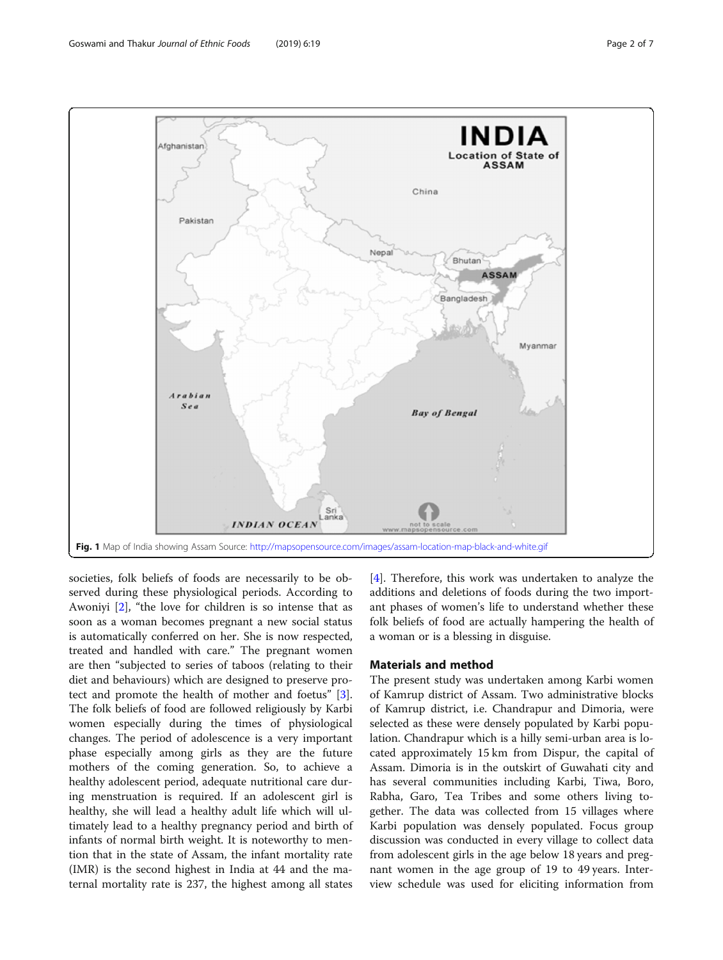<span id="page-1-0"></span>

societies, folk beliefs of foods are necessarily to be observed during these physiological periods. According to Awoniyi [[2\]](#page-6-0), "the love for children is so intense that as soon as a woman becomes pregnant a new social status is automatically conferred on her. She is now respected, treated and handled with care." The pregnant women are then "subjected to series of taboos (relating to their diet and behaviours) which are designed to preserve protect and promote the health of mother and foetus" [\[3](#page-6-0)]. The folk beliefs of food are followed religiously by Karbi women especially during the times of physiological changes. The period of adolescence is a very important phase especially among girls as they are the future mothers of the coming generation. So, to achieve a healthy adolescent period, adequate nutritional care during menstruation is required. If an adolescent girl is healthy, she will lead a healthy adult life which will ultimately lead to a healthy pregnancy period and birth of infants of normal birth weight. It is noteworthy to mention that in the state of Assam, the infant mortality rate (IMR) is the second highest in India at 44 and the maternal mortality rate is 237, the highest among all states

[[4\]](#page-6-0). Therefore, this work was undertaken to analyze the additions and deletions of foods during the two important phases of women's life to understand whether these folk beliefs of food are actually hampering the health of a woman or is a blessing in disguise.

#### Materials and method

The present study was undertaken among Karbi women of Kamrup district of Assam. Two administrative blocks of Kamrup district, i.e. Chandrapur and Dimoria, were selected as these were densely populated by Karbi population. Chandrapur which is a hilly semi-urban area is located approximately 15 km from Dispur, the capital of Assam. Dimoria is in the outskirt of Guwahati city and has several communities including Karbi, Tiwa, Boro, Rabha, Garo, Tea Tribes and some others living together. The data was collected from 15 villages where Karbi population was densely populated. Focus group discussion was conducted in every village to collect data from adolescent girls in the age below 18 years and pregnant women in the age group of 19 to 49 years. Interview schedule was used for eliciting information from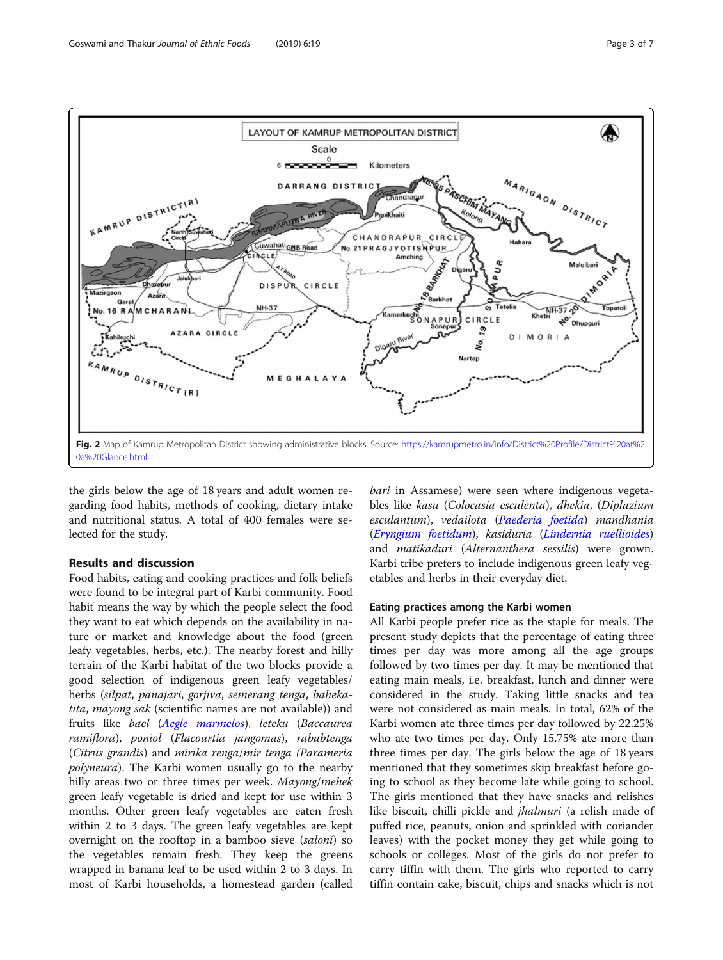<span id="page-2-0"></span>

the girls below the age of 18 years and adult women regarding food habits, methods of cooking, dietary intake and nutritional status. A total of 400 females were selected for the study.

#### Results and discussion

Food habits, eating and cooking practices and folk beliefs were found to be integral part of Karbi community. Food habit means the way by which the people select the food they want to eat which depends on the availability in nature or market and knowledge about the food (green leafy vegetables, herbs, etc.). The nearby forest and hilly terrain of the Karbi habitat of the two blocks provide a good selection of indigenous green leafy vegetables/ herbs (silpat, panajari, gorjiva, semerang tenga, bahekatita, mayong sak (scientific names are not available)) and fruits like bael ([Aegle marmelos](https://www.rediffmail.com/cgi-bin/red.cgi?red=http%3A%2F%2Fassamplants%2Ecom%2FAll%2520Species%2FAegle%2Ehtm&isImage=0&BlockImage=0&rediffng=0&rogue=bfcf9abf8c211b3a8b1bccc5274ae595392aa237&rdf=BT0IaFckAG0BPVxjU3UHIQ==)), leteku (Baccaurea ramiflora), poniol (Flacourtia jangomas), rababtenga (Citrus grandis) and mirika renga/mir tenga (Parameria polyneura). The Karbi women usually go to the nearby hilly areas two or three times per week. Mayong/mehek green leafy vegetable is dried and kept for use within 3 months. Other green leafy vegetables are eaten fresh within 2 to 3 days. The green leafy vegetables are kept overnight on the rooftop in a bamboo sieve (saloni) so the vegetables remain fresh. They keep the greens wrapped in banana leaf to be used within 2 to 3 days. In most of Karbi households, a homestead garden (called

bari in Assamese) were seen where indigenous vegetables like kasu (Colocasia esculenta), dhekia, (Diplazium esculantum), vedailota ([Paederia foetida](https://www.rediffmail.com/cgi-bin/red.cgi?red=http%3A%2F%2Fen%2Ewikipedia%2Eorg%2Fwiki%2FPaederia%5Ffoetida&isImage=0&BlockImage=0&rediffng=0&rogue=7d1d4ce1a532fc4fe96d83143c16a31e3fca5b40&rdf=U2tWNlUmVjsGOlZpBSNRdw==)) mandhania ([Eryngium foetidum](https://www.rediffmail.com/cgi-bin/red.cgi?red=http%3A%2F%2Fen%2Ewikipedia%2Eorg%2Fwiki%2FEryngium%5Ffoetidum&isImage=0&BlockImage=0&rediffng=0&rogue=72162e7544c588da348908a802ea599faf6894fe&rdf=BT0EZAR3VzpQbFJtVnBXcQ==)), kasiduria ([Lindernia ruellioides](https://www.rediffmail.com/cgi-bin/red.cgi?red=http%3A%2F%2Fassamplants%2Ecom%2FAll%2520Species%2FLindernia%2520ruellioides%2Ehtm&isImage=0&BlockImage=0&rediffng=0&rogue=766d6c6cc383ae8173b829831ca28b215d82fef8&rdf=BDwFZQJxUj8GOgQ7BCIKLA==)) and matikaduri (Alternanthera sessilis) were grown. Karbi tribe prefers to include indigenous green leafy vegetables and herbs in their everyday diet.

#### Eating practices among the Karbi women

All Karbi people prefer rice as the staple for meals. The present study depicts that the percentage of eating three times per day was more among all the age groups followed by two times per day. It may be mentioned that eating main meals, i.e. breakfast, lunch and dinner were considered in the study. Taking little snacks and tea were not considered as main meals. In total, 62% of the Karbi women ate three times per day followed by 22.25% who ate two times per day. Only 15.75% ate more than three times per day. The girls below the age of 18 years mentioned that they sometimes skip breakfast before going to school as they become late while going to school. The girls mentioned that they have snacks and relishes like biscuit, chilli pickle and *jhalmuri* (a relish made of puffed rice, peanuts, onion and sprinkled with coriander leaves) with the pocket money they get while going to schools or colleges. Most of the girls do not prefer to carry tiffin with them. The girls who reported to carry tiffin contain cake, biscuit, chips and snacks which is not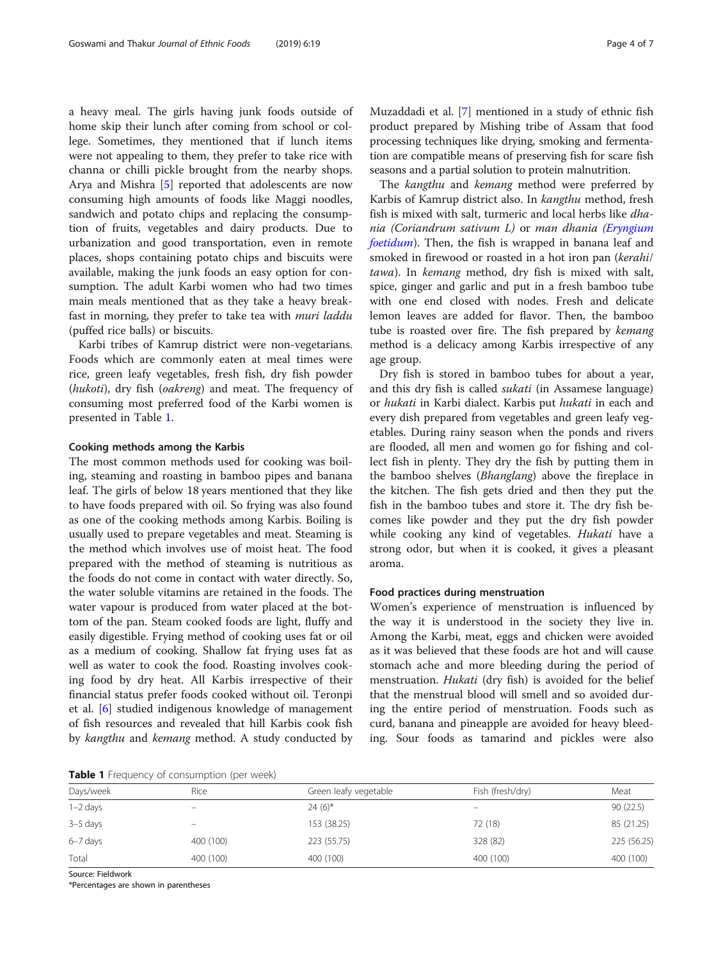a heavy meal. The girls having junk foods outside of home skip their lunch after coming from school or college. Sometimes, they mentioned that if lunch items were not appealing to them, they prefer to take rice with channa or chilli pickle brought from the nearby shops. Arya and Mishra [\[5](#page-6-0)] reported that adolescents are now consuming high amounts of foods like Maggi noodles, sandwich and potato chips and replacing the consumption of fruits, vegetables and dairy products. Due to urbanization and good transportation, even in remote places, shops containing potato chips and biscuits were available, making the junk foods an easy option for consumption. The adult Karbi women who had two times main meals mentioned that as they take a heavy breakfast in morning, they prefer to take tea with muri laddu (puffed rice balls) or biscuits.

Karbi tribes of Kamrup district were non-vegetarians. Foods which are commonly eaten at meal times were rice, green leafy vegetables, fresh fish, dry fish powder (hukoti), dry fish (oakreng) and meat. The frequency of consuming most preferred food of the Karbi women is presented in Table 1.

#### Cooking methods among the Karbis

The most common methods used for cooking was boiling, steaming and roasting in bamboo pipes and banana leaf. The girls of below 18 years mentioned that they like to have foods prepared with oil. So frying was also found as one of the cooking methods among Karbis. Boiling is usually used to prepare vegetables and meat. Steaming is the method which involves use of moist heat. The food prepared with the method of steaming is nutritious as the foods do not come in contact with water directly. So, the water soluble vitamins are retained in the foods. The water vapour is produced from water placed at the bottom of the pan. Steam cooked foods are light, fluffy and easily digestible. Frying method of cooking uses fat or oil as a medium of cooking. Shallow fat frying uses fat as well as water to cook the food. Roasting involves cooking food by dry heat. All Karbis irrespective of their financial status prefer foods cooked without oil. Teronpi et al. [\[6](#page-6-0)] studied indigenous knowledge of management of fish resources and revealed that hill Karbis cook fish by kangthu and kemang method. A study conducted by

Muzaddadi et al. [[7](#page-6-0)] mentioned in a study of ethnic fish product prepared by Mishing tribe of Assam that food processing techniques like drying, smoking and fermentation are compatible means of preserving fish for scare fish seasons and a partial solution to protein malnutrition.

The kangthu and kemang method were preferred by Karbis of Kamrup district also. In kangthu method, fresh fish is mixed with salt, turmeric and local herbs like *dha*nia (Coriandrum sativum L) or man dhania ([Eryngium](https://www.rediffmail.com/cgi-bin/red.cgi?red=http%3A%2F%2Fen%2Ewikipedia%2Eorg%2Fwiki%2FEryngium%5Ffoetidum&isImage=0&BlockImage=0&rediffng=0&rogue=72162e7544c588da348908a802ea599faf6894fe&rdf=BT0EZAR3VzpQbFJtVnBXcQ==) [foetidum](https://www.rediffmail.com/cgi-bin/red.cgi?red=http%3A%2F%2Fen%2Ewikipedia%2Eorg%2Fwiki%2FEryngium%5Ffoetidum&isImage=0&BlockImage=0&rediffng=0&rogue=72162e7544c588da348908a802ea599faf6894fe&rdf=BT0EZAR3VzpQbFJtVnBXcQ==)). Then, the fish is wrapped in banana leaf and smoked in firewood or roasted in a hot iron pan (kerahi/ tawa). In kemang method, dry fish is mixed with salt, spice, ginger and garlic and put in a fresh bamboo tube with one end closed with nodes. Fresh and delicate lemon leaves are added for flavor. Then, the bamboo tube is roasted over fire. The fish prepared by kemang method is a delicacy among Karbis irrespective of any age group.

Dry fish is stored in bamboo tubes for about a year, and this dry fish is called sukati (in Assamese language) or hukati in Karbi dialect. Karbis put hukati in each and every dish prepared from vegetables and green leafy vegetables. During rainy season when the ponds and rivers are flooded, all men and women go for fishing and collect fish in plenty. They dry the fish by putting them in the bamboo shelves (Bhanglang) above the fireplace in the kitchen. The fish gets dried and then they put the fish in the bamboo tubes and store it. The dry fish becomes like powder and they put the dry fish powder while cooking any kind of vegetables. Hukati have a strong odor, but when it is cooked, it gives a pleasant aroma.

#### Food practices during menstruation

Women's experience of menstruation is influenced by the way it is understood in the society they live in. Among the Karbi, meat, eggs and chicken were avoided as it was believed that these foods are hot and will cause stomach ache and more bleeding during the period of menstruation. Hukati (dry fish) is avoided for the belief that the menstrual blood will smell and so avoided during the entire period of menstruation. Foods such as curd, banana and pineapple are avoided for heavy bleeding. Sour foods as tamarind and pickles were also

Table 1 Frequency of consumption (per week)

| <b>I WINTE I</b> HOGGOCITCY OF CONSUMPTION (PC) WEEK! |           |                       |                  |             |
|-------------------------------------------------------|-----------|-----------------------|------------------|-------------|
| Days/week                                             | Rice      | Green leafy vegetable | Fish (fresh/dry) | Meat        |
| $1 - 2$ days                                          |           | $24(6)$ *             |                  | 90(22.5)    |
| $3-5$ days                                            |           | 153 (38.25)           | 72 (18)          | 85 (21.25)  |
| 6-7 days                                              | 400 (100) | 223 (55.75)           | 328 (82)         | 225 (56.25) |
| Total                                                 | 400 (100) | 400 (100)             | 400 (100)        | 400 (100)   |

Source: Fieldwork

\*Percentages are shown in parentheses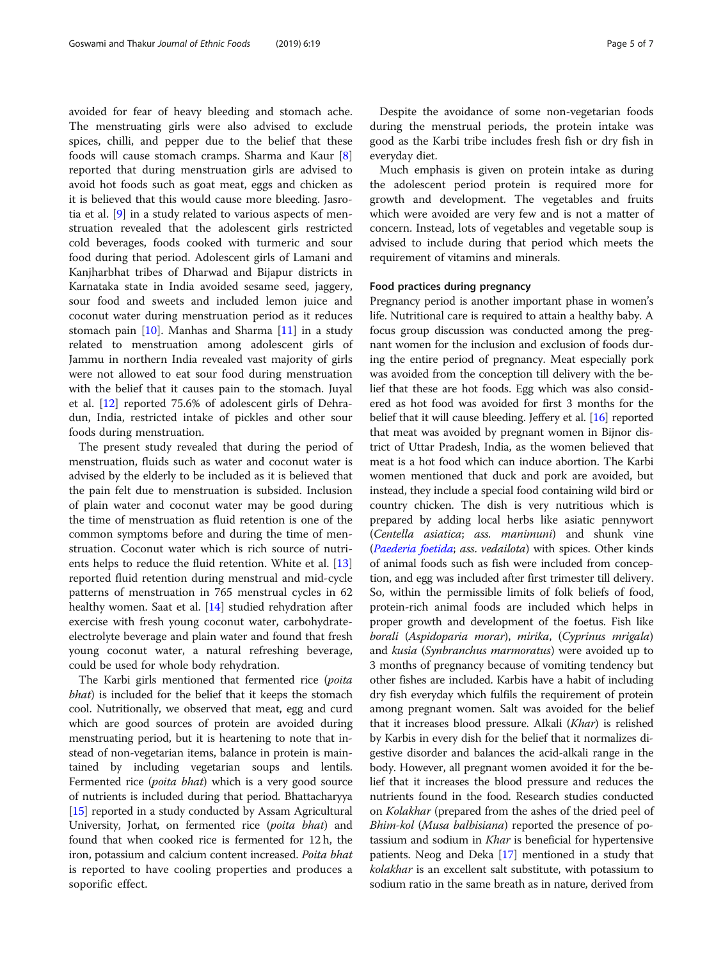avoided for fear of heavy bleeding and stomach ache. The menstruating girls were also advised to exclude spices, chilli, and pepper due to the belief that these foods will cause stomach cramps. Sharma and Kaur [\[8](#page-6-0)] reported that during menstruation girls are advised to avoid hot foods such as goat meat, eggs and chicken as it is believed that this would cause more bleeding. Jasrotia et al. [\[9\]](#page-6-0) in a study related to various aspects of menstruation revealed that the adolescent girls restricted cold beverages, foods cooked with turmeric and sour food during that period. Adolescent girls of Lamani and Kanjharbhat tribes of Dharwad and Bijapur districts in Karnataka state in India avoided sesame seed, jaggery, sour food and sweets and included lemon juice and coconut water during menstruation period as it reduces stomach pain [[10](#page-6-0)]. Manhas and Sharma [[11\]](#page-6-0) in a study related to menstruation among adolescent girls of Jammu in northern India revealed vast majority of girls were not allowed to eat sour food during menstruation with the belief that it causes pain to the stomach. Juyal et al. [[12\]](#page-6-0) reported 75.6% of adolescent girls of Dehradun, India, restricted intake of pickles and other sour foods during menstruation.

The present study revealed that during the period of menstruation, fluids such as water and coconut water is advised by the elderly to be included as it is believed that the pain felt due to menstruation is subsided. Inclusion of plain water and coconut water may be good during the time of menstruation as fluid retention is one of the common symptoms before and during the time of menstruation. Coconut water which is rich source of nutrients helps to reduce the fluid retention. White et al. [[13](#page-6-0)] reported fluid retention during menstrual and mid-cycle patterns of menstruation in 765 menstrual cycles in 62 healthy women. Saat et al. [[14\]](#page-6-0) studied rehydration after exercise with fresh young coconut water, carbohydrateelectrolyte beverage and plain water and found that fresh young coconut water, a natural refreshing beverage, could be used for whole body rehydration.

The Karbi girls mentioned that fermented rice (poita bhat) is included for the belief that it keeps the stomach cool. Nutritionally, we observed that meat, egg and curd which are good sources of protein are avoided during menstruating period, but it is heartening to note that instead of non-vegetarian items, balance in protein is maintained by including vegetarian soups and lentils. Fermented rice (*poita bhat*) which is a very good source of nutrients is included during that period. Bhattacharyya [[15](#page-6-0)] reported in a study conducted by Assam Agricultural University, Jorhat, on fermented rice (poita bhat) and found that when cooked rice is fermented for 12 h, the iron, potassium and calcium content increased. Poita bhat is reported to have cooling properties and produces a soporific effect.

Despite the avoidance of some non-vegetarian foods during the menstrual periods, the protein intake was good as the Karbi tribe includes fresh fish or dry fish in everyday diet.

Much emphasis is given on protein intake as during the adolescent period protein is required more for growth and development. The vegetables and fruits which were avoided are very few and is not a matter of concern. Instead, lots of vegetables and vegetable soup is advised to include during that period which meets the requirement of vitamins and minerals.

#### Food practices during pregnancy

Pregnancy period is another important phase in women's life. Nutritional care is required to attain a healthy baby. A focus group discussion was conducted among the pregnant women for the inclusion and exclusion of foods during the entire period of pregnancy. Meat especially pork was avoided from the conception till delivery with the belief that these are hot foods. Egg which was also considered as hot food was avoided for first 3 months for the belief that it will cause bleeding. Jeffery et al. [[16](#page-6-0)] reported that meat was avoided by pregnant women in Bijnor district of Uttar Pradesh, India, as the women believed that meat is a hot food which can induce abortion. The Karbi women mentioned that duck and pork are avoided, but instead, they include a special food containing wild bird or country chicken. The dish is very nutritious which is prepared by adding local herbs like asiatic pennywort (Centella asiatica; ass. manimuni) and shunk vine ([Paederia foetida](http://en.wikipedia.org/wiki/Paederia_foetida); ass. vedailota) with spices. Other kinds of animal foods such as fish were included from conception, and egg was included after first trimester till delivery. So, within the permissible limits of folk beliefs of food, protein-rich animal foods are included which helps in proper growth and development of the foetus. Fish like borali (Aspidoparia morar), mirika, (Cyprinus mrigala) and kusia (Synbranchus marmoratus) were avoided up to 3 months of pregnancy because of vomiting tendency but other fishes are included. Karbis have a habit of including dry fish everyday which fulfils the requirement of protein among pregnant women. Salt was avoided for the belief that it increases blood pressure. Alkali (Khar) is relished by Karbis in every dish for the belief that it normalizes digestive disorder and balances the acid-alkali range in the body. However, all pregnant women avoided it for the belief that it increases the blood pressure and reduces the nutrients found in the food. Research studies conducted on Kolakhar (prepared from the ashes of the dried peel of Bhim-kol (Musa balbisiana) reported the presence of potassium and sodium in *Khar* is beneficial for hypertensive patients. Neog and Deka [[17](#page-6-0)] mentioned in a study that kolakhar is an excellent salt substitute, with potassium to sodium ratio in the same breath as in nature, derived from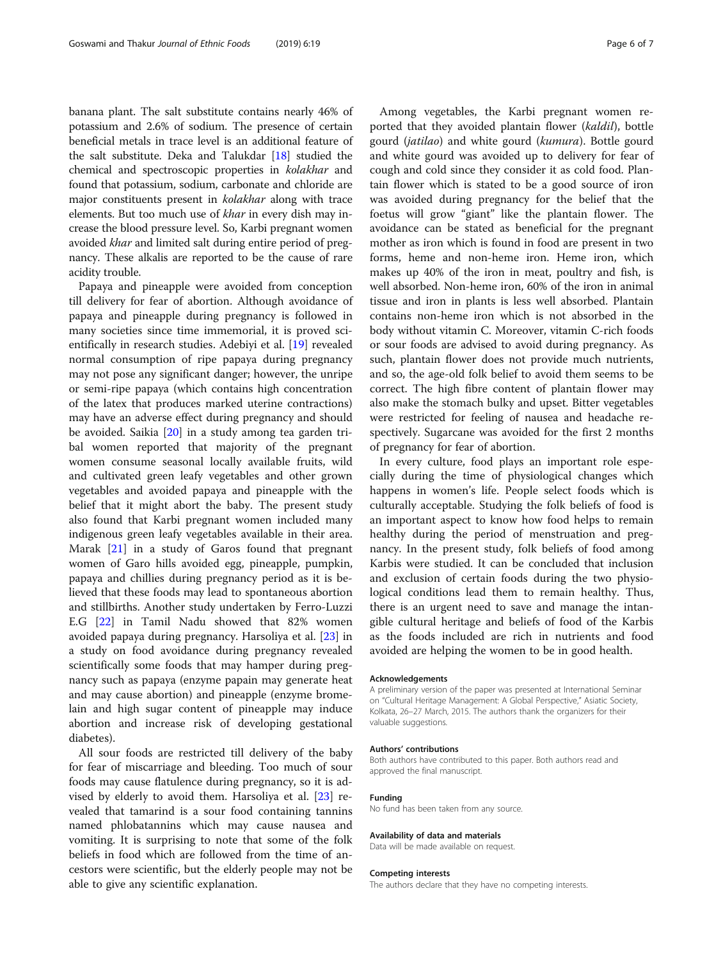banana plant. The salt substitute contains nearly 46% of potassium and 2.6% of sodium. The presence of certain beneficial metals in trace level is an additional feature of the salt substitute. Deka and Talukdar [[18](#page-6-0)] studied the chemical and spectroscopic properties in kolakhar and found that potassium, sodium, carbonate and chloride are major constituents present in kolakhar along with trace elements. But too much use of khar in every dish may increase the blood pressure level. So, Karbi pregnant women avoided khar and limited salt during entire period of pregnancy. These alkalis are reported to be the cause of rare acidity trouble.

Papaya and pineapple were avoided from conception till delivery for fear of abortion. Although avoidance of papaya and pineapple during pregnancy is followed in many societies since time immemorial, it is proved scientifically in research studies. Adebiyi et al. [[19\]](#page-6-0) revealed normal consumption of ripe papaya during pregnancy may not pose any significant danger; however, the unripe or semi-ripe papaya (which contains high concentration of the latex that produces marked uterine contractions) may have an adverse effect during pregnancy and should be avoided. Saikia [[20](#page-6-0)] in a study among tea garden tribal women reported that majority of the pregnant women consume seasonal locally available fruits, wild and cultivated green leafy vegetables and other grown vegetables and avoided papaya and pineapple with the belief that it might abort the baby. The present study also found that Karbi pregnant women included many indigenous green leafy vegetables available in their area. Marak [[21\]](#page-6-0) in a study of Garos found that pregnant women of Garo hills avoided egg, pineapple, pumpkin, papaya and chillies during pregnancy period as it is believed that these foods may lead to spontaneous abortion and stillbirths. Another study undertaken by Ferro-Luzzi E.G [[22](#page-6-0)] in Tamil Nadu showed that 82% women avoided papaya during pregnancy. Harsoliya et al. [[23](#page-6-0)] in a study on food avoidance during pregnancy revealed scientifically some foods that may hamper during pregnancy such as papaya (enzyme papain may generate heat and may cause abortion) and pineapple (enzyme bromelain and high sugar content of pineapple may induce abortion and increase risk of developing gestational diabetes).

All sour foods are restricted till delivery of the baby for fear of miscarriage and bleeding. Too much of sour foods may cause flatulence during pregnancy, so it is advised by elderly to avoid them. Harsoliya et al. [[23\]](#page-6-0) revealed that tamarind is a sour food containing tannins named phlobatannins which may cause nausea and vomiting. It is surprising to note that some of the folk beliefs in food which are followed from the time of ancestors were scientific, but the elderly people may not be able to give any scientific explanation.

Among vegetables, the Karbi pregnant women reported that they avoided plantain flower (kaldil), bottle gourd (jatilao) and white gourd (kumura). Bottle gourd and white gourd was avoided up to delivery for fear of cough and cold since they consider it as cold food. Plantain flower which is stated to be a good source of iron was avoided during pregnancy for the belief that the foetus will grow "giant" like the plantain flower. The avoidance can be stated as beneficial for the pregnant mother as iron which is found in food are present in two forms, heme and non-heme iron. Heme iron, which makes up 40% of the iron in meat, poultry and fish, is well absorbed. Non-heme iron, 60% of the iron in animal tissue and iron in plants is less well absorbed. Plantain contains non-heme iron which is not absorbed in the body without vitamin C. Moreover, vitamin C-rich foods or sour foods are advised to avoid during pregnancy. As such, plantain flower does not provide much nutrients, and so, the age-old folk belief to avoid them seems to be correct. The high fibre content of plantain flower may also make the stomach bulky and upset. Bitter vegetables were restricted for feeling of nausea and headache respectively. Sugarcane was avoided for the first 2 months of pregnancy for fear of abortion.

In every culture, food plays an important role especially during the time of physiological changes which happens in women's life. People select foods which is culturally acceptable. Studying the folk beliefs of food is an important aspect to know how food helps to remain healthy during the period of menstruation and pregnancy. In the present study, folk beliefs of food among Karbis were studied. It can be concluded that inclusion and exclusion of certain foods during the two physiological conditions lead them to remain healthy. Thus, there is an urgent need to save and manage the intangible cultural heritage and beliefs of food of the Karbis as the foods included are rich in nutrients and food avoided are helping the women to be in good health.

#### Acknowledgements

A preliminary version of the paper was presented at International Seminar on "Cultural Heritage Management: A Global Perspective," Asiatic Society, Kolkata, 26–27 March, 2015. The authors thank the organizers for their valuable suggestions.

#### Authors' contributions

Both authors have contributed to this paper. Both authors read and approved the final manuscript.

#### Funding

No fund has been taken from any source.

#### Availability of data and materials

Data will be made available on request.

#### Competing interests

The authors declare that they have no competing interests.